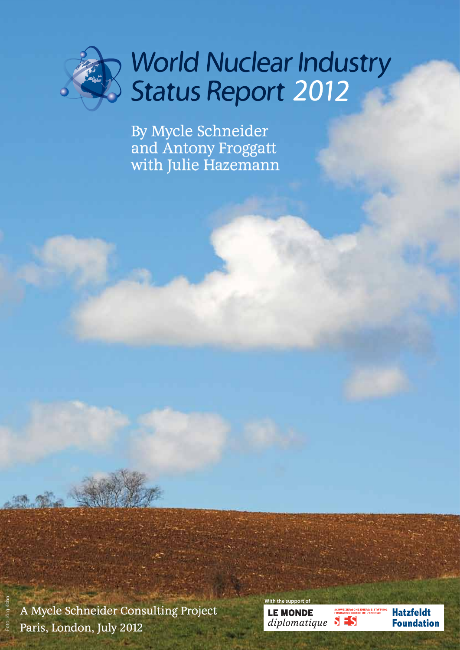

# World Nuclear Industry<br>Status Report 2012

By Mycle Schneider and Antony Froggatt with Julie Hazemann

A Mycle Schneider Consulting Project Paris, London, July 2012

Foto: Jörg Kohn

| With the support of  |                                        |                   |
|----------------------|----------------------------------------|-------------------|
| <b>LE MONDE</b>      | <b>SCHWEIZERISCHE ENERGIE-STIFTUNG</b> | <b>Hatzfeldt</b>  |
| diplomatique $S = S$ | <b>FONDATION SUISSE DE L'ENERGIE</b>   | <b>Foundation</b> |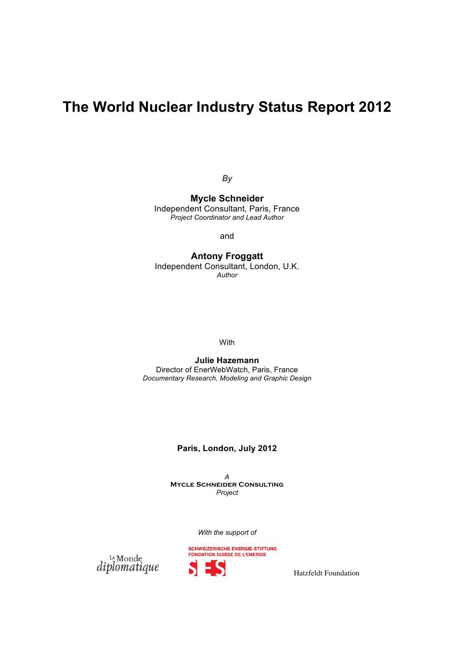## **The World Nuclear Industry Status Report 2012**

*By*

**Mycle Schneider** Independent Consultant, Paris, France *Project Coordinator and Lead Author*

and

**Antony Froggatt** Independent Consultant, London, U.K. *Author*

With

**Julie Hazemann** Director of EnerWebWatch, Paris, France *Documentary Research, Modeling and Graphic Design*

#### **Paris, London, July 2012**

*A*  **Mycle Schneider Consulting** *Project*

*With the support of*



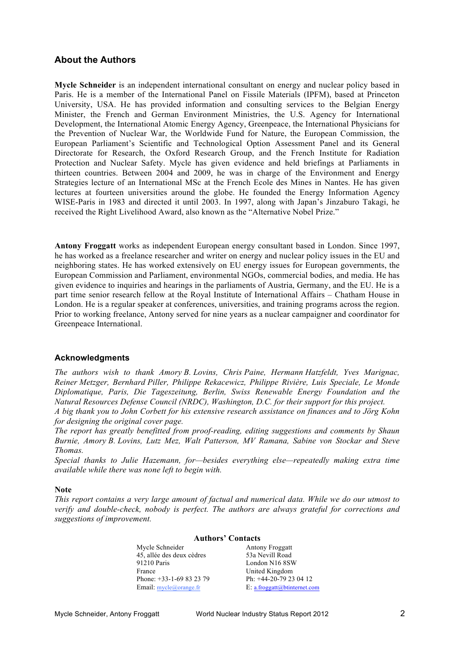#### **About the Authors**

**Mycle Schneider** is an independent international consultant on energy and nuclear policy based in Paris. He is a member of the International Panel on Fissile Materials (IPFM), based at Princeton University, USA. He has provided information and consulting services to the Belgian Energy Minister, the French and German Environment Ministries, the U.S. Agency for International Development, the International Atomic Energy Agency, Greenpeace, the International Physicians for the Prevention of Nuclear War, the Worldwide Fund for Nature, the European Commission, the European Parliament's Scientific and Technological Option Assessment Panel and its General Directorate for Research, the Oxford Research Group, and the French Institute for Radiation Protection and Nuclear Safety. Mycle has given evidence and held briefings at Parliaments in thirteen countries. Between 2004 and 2009, he was in charge of the Environment and Energy Strategies lecture of an International MSc at the French Ecole des Mines in Nantes. He has given lectures at fourteen universities around the globe. He founded the Energy Information Agency WISE-Paris in 1983 and directed it until 2003. In 1997, along with Japan's Jinzaburo Takagi, he received the Right Livelihood Award, also known as the "Alternative Nobel Prize."

**Antony Froggatt** works as independent European energy consultant based in London. Since 1997, he has worked as a freelance researcher and writer on energy and nuclear policy issues in the EU and neighboring states. He has worked extensively on EU energy issues for European governments, the European Commission and Parliament, environmental NGOs, commercial bodies, and media. He has given evidence to inquiries and hearings in the parliaments of Austria, Germany, and the EU. He is a part time senior research fellow at the Royal Institute of International Affairs – Chatham House in London. He is a regular speaker at conferences, universities, and training programs across the region. Prior to working freelance, Antony served for nine years as a nuclear campaigner and coordinator for Greenpeace International.

#### **Acknowledgments**

*The authors wish to thank Amory B. Lovins, Chris Paine, Hermann Hatzfeldt, Yves Marignac, Reiner Metzger, Bernhard Piller, Philippe Rekacewicz, Philippe Rivière, Luis Speciale, Le Monde Diplomatique, Paris, Die Tageszeitung, Berlin, Swiss Renewable Energy Foundation and the Natural Resources Defense Council (NRDC), Washington, D.C. for their support for this project.* 

*A big thank you to John Corbett for his extensive research assistance on finances and to Jörg Kohn for designing the original cover page.* 

*The report has greatly benefitted from proof-reading, editing suggestions and comments by Shaun Burnie, Amory B. Lovins, Lutz Mez, Walt Patterson, MV Ramana, Sabine von Stockar and Steve Thomas.* 

*Special thanks to Julie Hazemann, for—besides everything else—repeatedly making extra time available while there was none left to begin with.*

#### **Note**

*This report contains a very large amount of factual and numerical data. While we do our utmost to verify and double-check, nobody is perfect. The authors are always grateful for corrections and suggestions of improvement.*

> **Authors' Contacts** Mycle Schneider **Antony Froggatt** 45, allée des deux cèdres 53a Nevill Road 91210 Paris London N16 8SW France United Kingdom<br>
> Phone: +33-1-69 83 23 79 Ph: +44-20-79 23 04 12 Phone: +33-1-69 83 23 79 Email: mycle@orange.fr E: a.froggatt@btinternet.com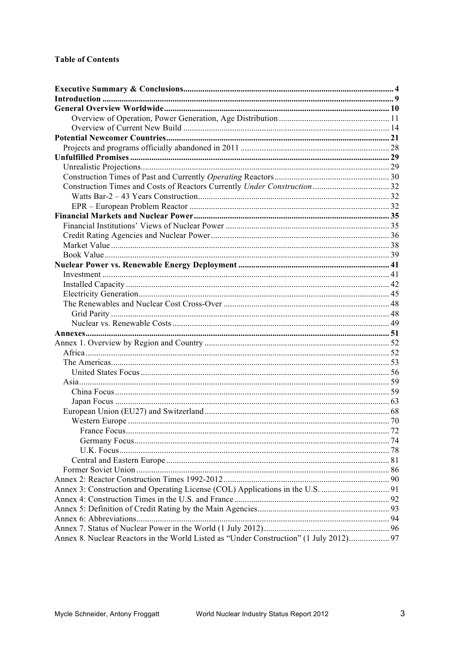| Annex 8. Nuclear Reactors in the World Listed as "Under Construction" (1 July 2012) 97 |  |
|----------------------------------------------------------------------------------------|--|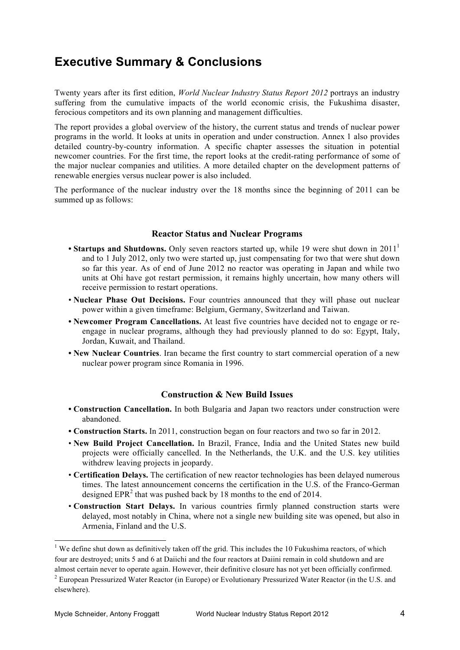### **Executive Summary & Conclusions**

Twenty years after its first edition, *World Nuclear Industry Status Report 2012* portrays an industry suffering from the cumulative impacts of the world economic crisis, the Fukushima disaster, ferocious competitors and its own planning and management difficulties.

The report provides a global overview of the history, the current status and trends of nuclear power programs in the world. It looks at units in operation and under construction. Annex 1 also provides detailed country-by-country information. A specific chapter assesses the situation in potential newcomer countries. For the first time, the report looks at the credit-rating performance of some of the major nuclear companies and utilities. A more detailed chapter on the development patterns of renewable energies versus nuclear power is also included.

The performance of the nuclear industry over the 18 months since the beginning of 2011 can be summed up as follows:

#### **Reactor Status and Nuclear Programs**

- **Startups and Shutdowns.** Only seven reactors started up, while 19 were shut down in 2011<sup>1</sup> and to 1 July 2012, only two were started up, just compensating for two that were shut down so far this year. As of end of June 2012 no reactor was operating in Japan and while two units at Ohi have got restart permission, it remains highly uncertain, how many others will receive permission to restart operations.
- **Nuclear Phase Out Decisions.** Four countries announced that they will phase out nuclear power within a given timeframe: Belgium, Germany, Switzerland and Taiwan.
- **• Newcomer Program Cancellations.** At least five countries have decided not to engage or reengage in nuclear programs, although they had previously planned to do so: Egypt, Italy, Jordan, Kuwait, and Thailand.
- **• New Nuclear Countries**. Iran became the first country to start commercial operation of a new nuclear power program since Romania in 1996.

#### **Construction & New Build Issues**

- **• Construction Cancellation.** In both Bulgaria and Japan two reactors under construction were abandoned.
- **• Construction Starts.** In 2011, construction began on four reactors and two so far in 2012.
- **New Build Project Cancellation.** In Brazil, France, India and the United States new build projects were officially cancelled. In the Netherlands, the U.K. and the U.S. key utilities withdrew leaving projects in jeopardy.
- **Certification Delays.** The certification of new reactor technologies has been delayed numerous times. The latest announcement concerns the certification in the U.S. of the Franco-German designed  $EPR<sup>2</sup>$  that was pushed back by 18 months to the end of 2014.
- **Construction Start Delays.** In various countries firmly planned construction starts were delayed, most notably in China, where not a single new building site was opened, but also in Armenia, Finland and the U.S.

 

<sup>&</sup>lt;sup>1</sup> We define shut down as definitively taken off the grid. This includes the 10 Fukushima reactors, of which four are destroyed; units 5 and 6 at Daiichi and the four reactors at Daiini remain in cold shutdown and are almost certain never to operate again. However, their definitive closure has not yet been officially confirmed.

<sup>2</sup> European Pressurized Water Reactor (in Europe) or Evolutionary Pressurized Water Reactor (in the U.S. and elsewhere).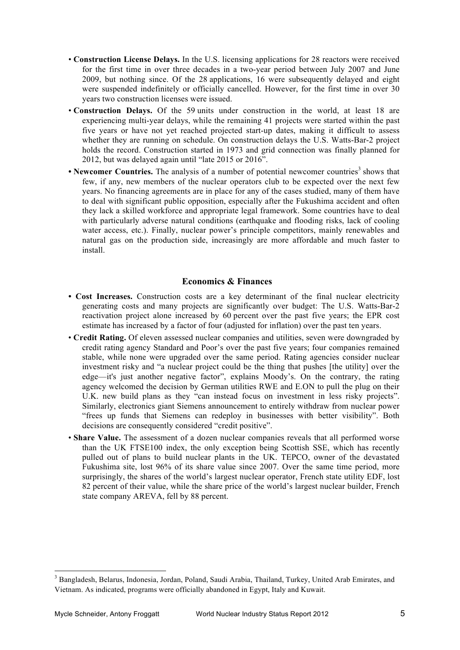- **Construction License Delays.** In the U.S. licensing applications for 28 reactors were received for the first time in over three decades in a two-year period between July 2007 and June 2009, but nothing since. Of the 28 applications, 16 were subsequently delayed and eight were suspended indefinitely or officially cancelled. However, for the first time in over 30 years two construction licenses were issued.
- **Construction Delays.** Of the 59 units under construction in the world, at least 18 are experiencing multi-year delays, while the remaining 41 projects were started within the past five years or have not yet reached projected start-up dates, making it difficult to assess whether they are running on schedule. On construction delays the U.S. Watts-Bar-2 project holds the record. Construction started in 1973 and grid connection was finally planned for 2012, but was delayed again until "late 2015 or 2016".
- **Newcomer Countries.** The analysis of a number of potential newcomer countries<sup>3</sup> shows that few, if any, new members of the nuclear operators club to be expected over the next few years. No financing agreements are in place for any of the cases studied, many of them have to deal with significant public opposition, especially after the Fukushima accident and often they lack a skilled workforce and appropriate legal framework. Some countries have to deal with particularly adverse natural conditions (earthquake and flooding risks, lack of cooling water access, etc.). Finally, nuclear power's principle competitors, mainly renewables and natural gas on the production side, increasingly are more affordable and much faster to install.

#### **Economics & Finances**

- **Cost Increases.** Construction costs are a key determinant of the final nuclear electricity generating costs and many projects are significantly over budget: The U.S. Watts-Bar-2 reactivation project alone increased by 60 percent over the past five years; the EPR cost estimate has increased by a factor of four (adjusted for inflation) over the past ten years.
- **Credit Rating.** Of eleven assessed nuclear companies and utilities, seven were downgraded by credit rating agency Standard and Poor's over the past five years; four companies remained stable, while none were upgraded over the same period. Rating agencies consider nuclear investment risky and "a nuclear project could be the thing that pushes [the utility] over the edge—it's just another negative factor", explains Moody's. On the contrary, the rating agency welcomed the decision by German utilities RWE and E.ON to pull the plug on their U.K. new build plans as they "can instead focus on investment in less risky projects". Similarly, electronics giant Siemens announcement to entirely withdraw from nuclear power "frees up funds that Siemens can redeploy in businesses with better visibility". Both decisions are consequently considered "credit positive".
- **Share Value.** The assessment of a dozen nuclear companies reveals that all performed worse than the UK FTSE100 index, the only exception being Scottish SSE, which has recently pulled out of plans to build nuclear plants in the UK. TEPCO, owner of the devastated Fukushima site, lost 96% of its share value since 2007. Over the same time period, more surprisingly, the shares of the world's largest nuclear operator, French state utility EDF, lost 82 percent of their value, while the share price of the world's largest nuclear builder, French state company AREVA, fell by 88 percent.

<u> 1989 - Johann Stein, marwolaethau a bh</u>

<sup>3</sup> Bangladesh, Belarus, Indonesia, Jordan, Poland, Saudi Arabia, Thailand, Turkey, United Arab Emirates, and Vietnam. As indicated, programs were officially abandoned in Egypt, Italy and Kuwait.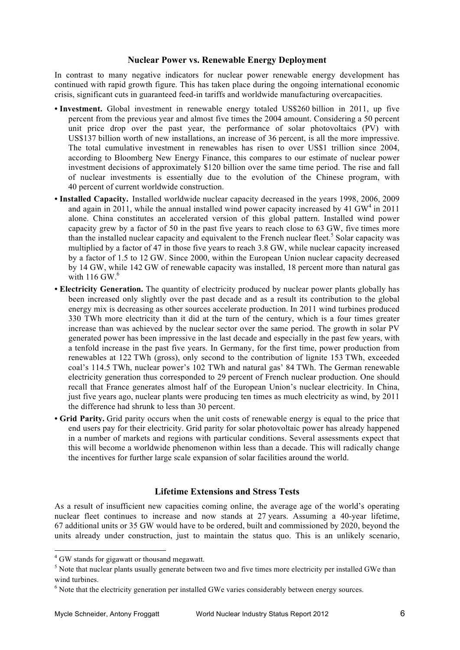#### **Nuclear Power vs. Renewable Energy Deployment**

In contrast to many negative indicators for nuclear power renewable energy development has continued with rapid growth figure. This has taken place during the ongoing international economic crisis, significant cuts in guaranteed feed-in tariffs and worldwide manufacturing overcapacities.

- **• Investment.** Global investment in renewable energy totaled US\$260 billion in 2011, up five percent from the previous year and almost five times the 2004 amount. Considering a 50 percent unit price drop over the past year, the performance of solar photovoltaics (PV) with US\$137 billion worth of new installations, an increase of 36 percent, is all the more impressive. The total cumulative investment in renewables has risen to over US\$1 trillion since 2004, according to Bloomberg New Energy Finance, this compares to our estimate of nuclear power investment decisions of approximately \$120 billion over the same time period. The rise and fall of nuclear investments is essentially due to the evolution of the Chinese program, with 40 percent of current worldwide construction.
- **• Installed Capacity.** Installed worldwide nuclear capacity decreased in the years 1998, 2006, 2009 and again in 2011, while the annual installed wind power capacity increased by 41 GW<sup>4</sup> in 2011 alone. China constitutes an accelerated version of this global pattern. Installed wind power capacity grew by a factor of 50 in the past five years to reach close to 63 GW, five times more than the installed nuclear capacity and equivalent to the French nuclear fleet.<sup>5</sup> Solar capacity was multiplied by a factor of 47 in those five years to reach 3.8 GW, while nuclear capacity increased by a factor of 1.5 to 12 GW. Since 2000, within the European Union nuclear capacity decreased by 14 GW, while 142 GW of renewable capacity was installed, 18 percent more than natural gas with  $116$  GW. $<sup>6</sup>$ </sup>
- **Electricity Generation.** The quantity of electricity produced by nuclear power plants globally has been increased only slightly over the past decade and as a result its contribution to the global energy mix is decreasing as other sources accelerate production. In 2011 wind turbines produced 330 TWh more electricity than it did at the turn of the century, which is a four times greater increase than was achieved by the nuclear sector over the same period. The growth in solar PV generated power has been impressive in the last decade and especially in the past few years, with a tenfold increase in the past five years. In Germany, for the first time, power production from renewables at 122 TWh (gross), only second to the contribution of lignite 153 TWh, exceeded coal's 114.5 TWh, nuclear power's 102 TWh and natural gas' 84 TWh. The German renewable electricity generation thus corresponded to 29 percent of French nuclear production. One should recall that France generates almost half of the European Union's nuclear electricity. In China, just five years ago, nuclear plants were producing ten times as much electricity as wind, by 2011 the difference had shrunk to less than 30 percent.
- **• Grid Parity.** Grid parity occurs when the unit costs of renewable energy is equal to the price that end users pay for their electricity. Grid parity for solar photovoltaic power has already happened in a number of markets and regions with particular conditions. Several assessments expect that this will become a worldwide phenomenon within less than a decade. This will radically change the incentives for further large scale expansion of solar facilities around the world.

#### **Lifetime Extensions and Stress Tests**

As a result of insufficient new capacities coming online, the average age of the world's operating nuclear fleet continues to increase and now stands at 27 years. Assuming a 40-year lifetime, 67 additional units or 35 GW would have to be ordered, built and commissioned by 2020, beyond the units already under construction, just to maintain the status quo. This is an unlikely scenario,

 

<sup>4</sup> GW stands for gigawatt or thousand megawatt.

<sup>&</sup>lt;sup>5</sup> Note that nuclear plants usually generate between two and five times more electricity per installed GWe than wind turbines.

<sup>&</sup>lt;sup>6</sup> Note that the electricity generation per installed GWe varies considerably between energy sources.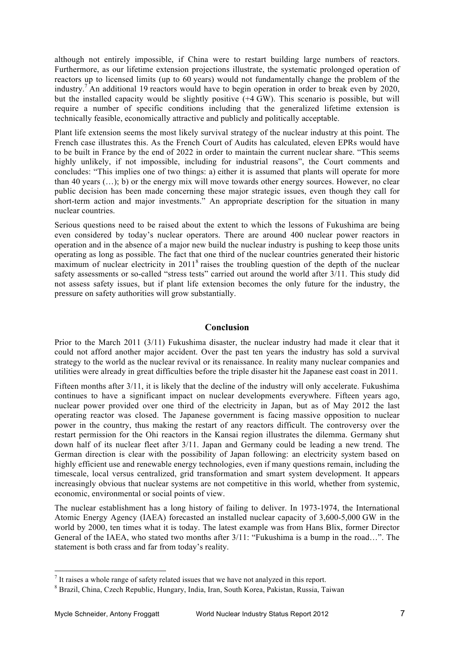although not entirely impossible, if China were to restart building large numbers of reactors. Furthermore, as our lifetime extension projections illustrate, the systematic prolonged operation of reactors up to licensed limits (up to 60 years) would not fundamentally change the problem of the industry.<sup>7</sup> An additional 19 reactors would have to begin operation in order to break even by 2020, but the installed capacity would be slightly positive (+4 GW). This scenario is possible, but will require a number of specific conditions including that the generalized lifetime extension is technically feasible, economically attractive and publicly and politically acceptable.

Plant life extension seems the most likely survival strategy of the nuclear industry at this point. The French case illustrates this. As the French Court of Audits has calculated, eleven EPRs would have to be built in France by the end of 2022 in order to maintain the current nuclear share. "This seems highly unlikely, if not impossible, including for industrial reasons", the Court comments and concludes: "This implies one of two things: a) either it is assumed that plants will operate for more than 40 years (…); b) or the energy mix will move towards other energy sources. However, no clear public decision has been made concerning these major strategic issues, even though they call for short-term action and major investments." An appropriate description for the situation in many nuclear countries.

Serious questions need to be raised about the extent to which the lessons of Fukushima are being even considered by today's nuclear operators. There are around 400 nuclear power reactors in operation and in the absence of a major new build the nuclear industry is pushing to keep those units operating as long as possible. The fact that one third of the nuclear countries generated their historic maximum of nuclear electricity in 2011<sup>8</sup> raises the troubling question of the depth of the nuclear safety assessments or so-called "stress tests" carried out around the world after 3/11. This study did not assess safety issues, but if plant life extension becomes the only future for the industry, the pressure on safety authorities will grow substantially.

#### **Conclusion**

Prior to the March 2011 (3/11) Fukushima disaster, the nuclear industry had made it clear that it could not afford another major accident. Over the past ten years the industry has sold a survival strategy to the world as the nuclear revival or its renaissance. In reality many nuclear companies and utilities were already in great difficulties before the triple disaster hit the Japanese east coast in 2011.

Fifteen months after 3/11, it is likely that the decline of the industry will only accelerate. Fukushima continues to have a significant impact on nuclear developments everywhere. Fifteen years ago, nuclear power provided over one third of the electricity in Japan, but as of May 2012 the last operating reactor was closed. The Japanese government is facing massive opposition to nuclear power in the country, thus making the restart of any reactors difficult. The controversy over the restart permission for the Ohi reactors in the Kansai region illustrates the dilemma. Germany shut down half of its nuclear fleet after 3/11. Japan and Germany could be leading a new trend. The German direction is clear with the possibility of Japan following: an electricity system based on highly efficient use and renewable energy technologies, even if many questions remain, including the timescale, local versus centralized, grid transformation and smart system development. It appears increasingly obvious that nuclear systems are not competitive in this world, whether from systemic, economic, environmental or social points of view.

The nuclear establishment has a long history of failing to deliver. In 1973-1974, the International Atomic Energy Agency (IAEA) forecasted an installed nuclear capacity of 3,600-5,000 GW in the world by 2000, ten times what it is today. The latest example was from Hans Blix, former Director General of the IAEA, who stated two months after  $3/11$ : "Fukushima is a bump in the road...". The statement is both crass and far from today's reality.

<u> 1989 - Johann Stein, marwolaethau a bh</u>

 $<sup>7</sup>$  It raises a whole range of safety related issues that we have not analyzed in this report.</sup>

<sup>8</sup> Brazil, China, Czech Republic, Hungary, India, Iran, South Korea, Pakistan, Russia, Taiwan